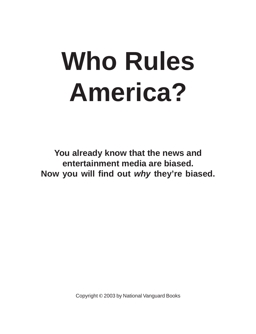# **Who Rules America?**

**You already know that the news and entertainment media are biased. Now you will find out** *why* **they're biased.**

Copyright **©** 2003 by National Vanguard Books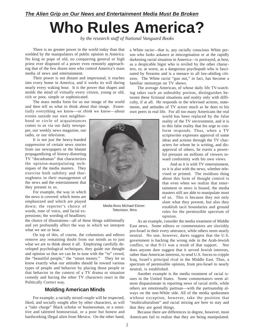### *The Alien Grip on Our News and Entertainment Media Must Be Broken*

## **Who Rules America?**

*by the research staff of National Vanguard Books*

There is no greater power in the world today than that wielded by the manipulators of public opinion in America. No king or pope of old, no conquering general or high priest ever disposed of a power even remotely approaching that of the few dozen men who control America's mass media of news and entertainment.

Their power is not distant and impersonal; it reaches into every home in America, and it works its will during nearly every waking hour. It is the power that shapes and molds the mind of virtually every citizen, young or old, rich or poor, simple or sophisticated.

The mass media form for us our image of the world and then tell us what to think about that image. Essentially everything we know—or *think* we know—about

events outside our own neighborhood or circle of acquaintances comes to us via our daily newspaper, our weekly news magazine, our radio, or our television.

It is not just the heavy-handed suppression of certain news stories from our newspapers or the blatant propagandizing of history-distorting TV "docudramas" that characterizes the opinion-manipulating techniques of the media masters. They exercise both subtlety and thoroughness in their management of the news and the entertainment that they present to us.

For example, the way in which the news is covered: which items are emphasized and which are played down; the reporter's choice of words, tone of voice, and facial expressions; the wording of headlines;

the choice of illustrations—all of these things subliminally and yet profoundly affect the way in which we interpret what we see or hear.

On top of this, of course, the columnists and editors remove any remaining doubt from our minds as to just what we are to think about it all. Employing carefully developed psychological techniques, they guide our thought and opinion so that we can be in tune with the "in" crowd, the "beautiful people," the "smart money." They let us know exactly what our attitudes should be toward various types of people and behavior by placing those people or that behavior in the context of a TV drama or situation comedy and having the other TV characters react in the Politically Correct way.

#### **Molding American Minds**

For example, a racially mixed couple will be respected, liked, and socially sought after by other characters, as will a "take charge" Black scholar or businessman, or a sensitive and talented homosexual, or a poor but honest and hardworking illegal alien from Mexico. On the other hand,

Media Boss Michael Eisner: Television, films

a White racist—that is, any racially conscious White person who looks askance at miscegenation or at the rapidly darkening racial situation in America—is portrayed, at best, as a despicable bigot who is reviled by the other characters, or, at worst, as a dangerous psychopath who is fascinated by firearms and is a menace to all law-abiding citizens. The White racist "gun nut," in fact, has become a familiar stereotype on TV shows.

The average American, of whose daily life TV-watching takes such an unhealthy portion, distinguishes between these fictional situations and reality only with difficulty, if at all. He responds to the televised actions, statements, and attitudes of TV actors much as he does to his own peers in real life. For all too many Americans the real

> world has been replaced by the false reality of the TV environment, and it is to this false reality that his urge to conform responds. Thus, when a TV scriptwriter expresses approval of some ideas and actions through the TV characters for whom he is writing, and disapproval of others, he exerts a powerful pressure on millions of viewers toward conformity with his own views.

> And as it is with TV entertainment, so it is also with the news, whether televised or printed. The insidious thing about this form of thought control is that even when we realize that entertainment or news is biased, the media masters still are able to manipulate most of us. This is because they not only slant what they present, but also they establish tacit boundaries and ground rules for the permissible spectrum of opinion.

As an example, consider the media treatment of Middle East news. Some editors or commentators are slavishly pro-Israel in their every utterance, while others seem nearly neutral. No one, however, dares suggest that the U.S. government is backing the wrong side in the Arab-Jewish conflict, or that 9-11 was a result of that support. Nor does anyone dare suggest that it served Jewish interests, rather than American interests, to send U.S. forces to cripple Iraq, Israel's principal rival in the Middle East. Thus, a spectrum of permissible opinion, from pro-Israel to nearly neutral, is established.

Another example is the media treatment of racial issues in the United States. Some commentators seem almost dispassionate in reporting news of racial strife, while others are emotionally partisan—with the partisanship always on the non-White side. All of the media spokesmen without exception, however, take the position that "multiculturalism" and racial mixing are here to stay and that they are good things.

Because there are differences in degree, however, most Americans fail to realize that they are being manipulated.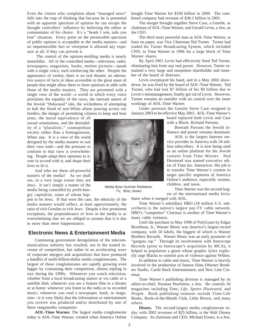Even the citizen who complains about "managed news" falls into the trap of thinking that because he is presented with an apparent spectrum of opinion he can escape the thought controllers' influence by believing the editor or commentator of his choice. It's a "heads I win, tails you lose" situation. Every point on the permissible spectrum of public opinion is acceptable to the media masters—and no impermissible fact or viewpoint is allowed any exposure at all, if they can prevent it.

 The control of the opinion-molding media is nearly monolithic. All of the controlled media—television, radio, newspapers, magazines, books, motion pictures—speak with a single voice, each reinforcing the other. Despite the appearance of variety, there is no real dissent, no alternative source of facts or ideas accessible to the great mass of people that might allow them to form opinions at odds with those of the media masters. They are presented with a single view of the world—a world in which every voice proclaims the equality of the races, the inerrant nature of the Jewish "Holocaust" tale, the wickedness of attempting to halt the flood of non-White aliens pouring across our borders, the danger of permitting citizens to keep and bear

arms, the moral equivalence of all sexual orientations, and the desirability of a "pluralistic," cosmopolitan society rather than a homogeneous, White one. It is a view of the world designed by the media masters to suit their own ends—and the pressure to conform to that view is overwhelming. People adapt their opinions to it, vote in accord with it, and shape their lives to fit it.

And who are these all-powerful masters of the media? As we shall see, to a very large extent they are Jews. It isn't simply a matter of the media being controlled by profit-hungry capitalists, some of whom hap-

pen to be Jews. If that were the case, the ethnicity of the media masters would reflect, at least approximately, the ratio of rich Gentiles to rich Jews. Despite a few prominent exceptions, the preponderance of Jews in the media is so overwhelming that we are obliged to assume that it is due to more than mere happenstance.

#### **Electronic News & Entertainment Media**

Continuing government deregulation of the telecommunications industry has resulted, not in the touted increase of competition, but rather in an accelerating wave of corporate mergers and acquisitions that have produced a handful of multi-billion-dollar media conglomerates. The largest of these conglomerates are rapidly growing even bigger by consuming their competition, almost tripling in size during the 1990s. Whenever you watch television, whether from a local broadcasting station or via cable or a satellite dish; whenever you see a feature film in a theater or at home; whenever you listen to the radio or to recorded music; whenever you read a newspaper, book, or magazine—it is very likely that the information or entertainment you receive was produced and/or distributed by one of these megamedia companies:

**AOL-Time Warner.** The largest media conglomerate today is AOL-Time Warner, created when America Online bought Time Warner for \$160 billion in 2000. The combined company had revenue of \$38.2 billion in 2001.

The merger brought together Steve Case, a Gentile, as chairman of AOL-Time Warner, and Gerald Levin, a Jew, as the CEO.

The third most powerful man at AOL-Time Warner, at least on paper, was Vice Chairman Ted Turner. Turner had traded his Turner Broadcasting System, which included CNN, to Time Warner in 1996 for a large block of Time Warner shares.

By April 2001 Levin had effectively fired Ted Turner, eliminating him from any real power. However, Turner remained a very large and outspoken shareholder and member of the board of directors.

Levin overplayed his hand, and in a May 2002 showdown, he was fired by the board of AOL-Time Warner. Ted Turner, who had lost \$7 billion of his \$9 billion due to Levin's mismanagement, finally got rid of Levin. However, Turner remains an outsider with no control over the inner workings of AOL-Time Warner.

Under pressure the Gentile Steve Case resigned in January 2003 to be effective May 2003. AOL-Time Warner's

> board replaced both Levin and Case with a Black, Richard Parsons.

Beneath Parsons the Jewish influence and power remains dominant.

AOL is the largest Internet service provider in America with 34 million subscribers. It is now being used as an online platform for the Jewish content from Time Warner. Ned Desmond was named executive editor of Time Inc. Interactive. His job is to transfer Time Warner's content to target specific segments of America Online's audience, especially women, children, and teens.

Time Warner was the second largest of the international media leviathans when it merged with AOL.

Time Warner's subsidiary HBO (18 million U.S. subscribers) is the nation's largest pay-TV cable network. HBO's "competitor" Cinemax is another of Time Warner's many cable ventures.

Until the purchase in May 1998 of PolyGram by Edgar Bronfman, Jr., Warner Music was America's largest record company, with 50 labels, the biggest of which is Warner Brothers Records. Warner Music was an early promoter of "gangsta rap." Through its involvement with Interscope Records (prior to Interscope's acquisition by MCA), it helped to popularize a genre whose graphic lyrics explicitly urge Blacks to commit acts of violence against Whites.

In addition to cable and music, Time Warner is heavily involved in the production of feature films (Warner Brothers Studio, Castle Rock Entertainment, and New Line Cinema).

Time Warner's publishing division is managed by its editor-in-chief, Norman Pearlstein, a Jew. He controls 50 magazines including *Time*, *Life*, *Sports Illustrated*, and *People*. Book publishing ventures include Time-Life Books, Book-of-the-Month Club, Little Brown, and many others.

**Disney.** The second-largest media conglomerate today, with 2002 revenues of \$25 billion, is the Walt Disney Company. Its chairman and CEO, Michael Eisner, is a Jew.



Media Boss Sumner Redstone: TV, films, books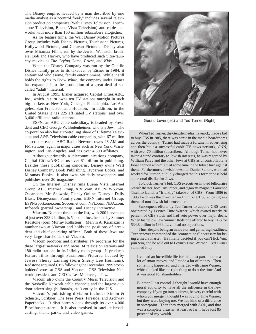The Disney empire, headed by a man described by one media analyst as a "control freak," includes several television production companies (Walt Disney Television, Touchstone Television, Buena Vista Television) and cable networks with more than 100 million subscribers altogether.

As for feature films, the Walt Disney Motion Pictures Group includes Walt Disney Pictures, Touchstone Pictures, Hollywood Pictures, and Caravan Pictures. Disney also owns Miramax Films, run by the Jewish Weinstein brothers, Bob and Harvey, who have produced such ultra-raunchy movies as *The Crying Game*, *Priest*, and *Kids.*

When the Disney Company was run by the Gentile Disney family prior to its takeover by Eisner in 1984, it epitomized wholesome, family entertainment. While it still holds the rights to *Snow White,* the company under Eisner has expanded into the production of a great deal of socalled "adult" material.

In August 1995, Eisner acquired Capital Cities/ABC, Inc., which in turn owns ten TV stations outright in such big markets as New York, Chicago, Philadelphia, Los Angeles, San Francisco, and Houston. In addition, in the United States it has 225 affiliated TV stations and over 3,400 affiliated radio stations.

ESPN, an ABC cable subsidiary, is headed by President and CEO George W. Bodenheimer, who is a Jew. The corporation also has a controlling share of Lifetime Television and A&E Television cable companies, with 67 million subscribers each. ABC Radio Network owns 26 AM and FM stations, again in major cities such as New York, Washington, and Los Angeles, and has over 4,500 affiliates.

Although primarily a telecommunications company, Capital Cities/ABC earns over \$1 billion in publishing. Besides these publishing concerns, Disney owns Walt Disney Company Book Publishing, Hyperion Books, and Miramax Books. It also owns six daily newspapers and publishes over 20 magazines.

On the Internet, Disney runs Buena Vista Internet Group, ABC Internet Group, ABC.com, ABCNEWS.com, Oscar.com, Mr. Showbiz, Disney Online, Disney's Daily Blast, Disney.com, Family.com, ESPN Internet Group, ESPN.sportzone.com, Soccernet.com, NFL.com, NBA.com, Infoseek (partial ownership), and Disney Interactive.

**Viacom.** Number three on the list, with 2001 revenues of just over \$23.2 billion, is Viacom, Inc., headed by Sumner Redstone (born Murray Rothstein). Melvin A. Karmazin is number two at Viacom and holds the positions of president and chief operating officer. Both of these Jews are very large shareholders of Viacom.

Viacom produces and distributes TV programs for the three largest networks and owns 34 television stations and 180 radio stations in its Infinity radio group. It produces feature films through Paramount Pictures, headed by Jewess Sherry Lansing (born Sherry Lee Heimann). Redstone acquired CBS following the December 1999 stockholders' votes at CBS and Viacom. CBS Television Network president and CEO is Les Moonves, a Jew.

Viacom also owns the Country Music Television and the Nashville Network cable channels and the largest outdoor advertising (billboards, etc.) entity in the U.S.

Viacom's publishing division includes Simon & Schuster, Scribner, The Free Press, Fireside, and Archway Paperbacks. It distributes videos through its over 4,000 Blockbuster stores. It is also involved in satellite broadcasting, theme parks, and video games.



Gerald Levin (left) and Ted Turner (Right)

When Ted Turner, the Gentile media maverick, made a bid to buy CBS in1985, there was panic in the media boardrooms across the country. Turner had made a fortune in advertising and then built a successful cable-TV news network, CNN, with over 70 million subscribers. Although Turner had never taken a stand contrary to Jewish interests, he was regarded by William Paley and the other Jews at CBS as uncontrollable: a loose cannon who might at some time in the future turn against them. Furthermore, Jewish newsman Daniel Schorr, who had worked for Turner, publicly charged that his former boss held a personal dislike for Jews.

To block Turner's bid, CBS executives invited billionaire Jewish theater, hotel, insurance, and cigarette magnate Laurence Tisch to launch a "friendly" takeover of CBS. From 1986 to 1995 Tisch was the chairman and CEO of CBS, removing any threat of non-Jewish influence there.

Subsequent efforts by Ted Turner to acquire CBS were obstructed by Levin's Time Warner, which owned nearly 20 percent of CBS stock and had veto power over major deals. When his fellow Jew Sumner Redstone offered to buy CBS for \$34.8 billion in 1999, Levin had no objections.

Thus, despite being an innovator and garnering headlines, Turner never commanded the "connections" necessary for being a media master. He finally decided if you can't lick 'em, join 'em, and he sold out to Levin's Time Warner. Ted Turner summed it up:

I've had an incredible life for the most part. I made a lot of smart moves, and I made a lot of money. Then something happened, and I merged with Time Warner, which looked like the right thing to do at the time. And it was good for shareholders.

But then I lost control. I thought I would have enough moral authority to have all the influence in the new company. If you go into business, be very careful with whom you merge. I thought I was buying Time Warner, but they were buying me. We had kind of a difference in viewpoint. Then they merged with AOL, and that was a complete disaster, at least so far. I have lost 85 percent of my wealth.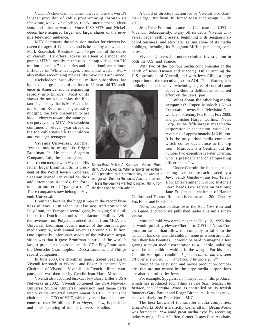Viacom's chief claim to fame, however, is as the world's largest provider of cable programming through its Showtime, MTV, Nickelodeon, Black Entertainment Television, and other networks. Since 1989 MTV and Nickelodeon have acquired larger and larger shares of the juvenile television audience.

MTV dominates the television market for viewers between the ages of 12 and 24, and is headed by a Jew named Mark Rosenthal. Redstone owns 76 per cent of the shares of Viacom. He offers Jackass as a teen role model and pumps MTV's racially mixed rock and rap videos into 210 million homes in 71 countries and is the dominant cultural influence on White teenagers around the world. MTV also makes race-mixing movies like *Save the Last Dance*.

Nickelodeon, with about 65 million subscribers, has by far the largest share of the four-to-11-year-old TV audi-

ence in America and is expanding rapidly into Europe. Most of its shows do not yet display the blatant degeneracy that is MTV's trademark, but Redstone is gradually nudging the fare presented to his kiddie viewers toward the same poison purveyed by MTV. Nickelodeon continues an eleven-year streak as the top cable network for children and younger teenagers.

**Vivendi Universal.** Another Jewish media mogul is Edgar Bronfman, Jr. He headed Seagram Company, Ltd., the liquor giant, until its recent merger with Vivendi. His father, Edgar Bronfman, Sr., is president of the World Jewish Congress. Seagram owned Universal Studios and Interscope Records, the foremost promoter of "gangsta rap." These companies now belong to Vivendi Universal.

Bronfman became the biggest man in the record business in May 1998 when he also acquired control of PolyGram, the European record giant, by paying \$10.6 billion to the Dutch electronics manufacturer Philips. With the revenue from PolyGram added to that from MCA and Universal, Bronfman became master of the fourth largest media empire, with annual revenues around \$12 billion. One especially unfortunate aspect of the PolyGram acquisition was that it gave Bronfman control of the world's largest producer of classical music CDs: PolyGram owns the Deutsche Grammophon, Decca-London, and Philips record companies.

In June 2000, the Bronfman family traded Seagram to Vivendi for stock in Vivendi, and Edgar, Jr. became Vice Chairman of Vivendi. Vivendi is a French utilities company, and was then led by Gentile Jean-Marie Messier.

Vivendi also acquired bisexual Jew Barry Diller's USA Networks in 2002. Vivendi combined the USA Network, Universal Studios, Universal Television, and theme parks into Vivendi Universal Entertainment (VUE). Diller is the chairman and CEO of VUE, which by itself has annual revenues of over \$6 billion. Ron Meyer, a Jew, is president and chief operating officer of Universal Studios.



Media Boss Melvin A. Karmazin, Viacom President, COO & Director. When a reporter asked then-CBS president Mel Karmazin why he wanted a merger with Sumner Restone's Viacom, he replied: "This is the deal I've wanted to make, I think, from the time I was bar-mitzvahed."

A board of directors faction led by Vivendi vice chairman Edgar Bronfman, Jr., forced Messier to resign in July 2002.

Jean-René Fourtou became the Chairman and CEO of Vivendi. Subsequently, to pay off its debts, Vivendi Universal began selling assets, beginning with Seagam's alcohol business, and also later selling some of its media holdings, including its Houghton-Mifflin publishing company.

Vivendi Universal is under criminal investigation in both the U.S. and France.

With two of the top four media conglomerates in the hands of Jews (Disney and Viacom), Diller running the U.S. operations of Vivendi, and with Jews filling a large proportion of the executive jobs in AOL-Time Warner, it is unlikely that such an overwhelming degree of control came

> about without a deliberate, concerted effort on the Jews' part.

**What about the other big media companies?** Rupert Murdoch's News Corporation owns Fox Television Network, 20th Century Fox Films, Fox 2000, and publisher Harper Collins. News Corp. is the fifth largest megamedia corporation in the nation, with 2001 revenues of approximately \$16 billion. It is the only other media company which comes even close to the top four. Murdoch is a Gentile, but the number two executive is Peter Chernin, who is president and chief operating officer and a Jew.

Under Chernin the four major operating divisions are each headed by a Jew: Sandy Gurshow runs Fox Television Entertainment Group; Mitchell Stern heads Fox Television Stations; Jane Friedman is chairman of Harper

Collins; and Thomas Rothman is chairman of 20th Century Fox Films and Fox 2000.

News Corporation also owns the *New York Post* and *TV Guide,* and both are published under Chernin's supervision.

Murdoch told *Newsweek* magazine (July 12, 1999) that he would probably elevate Chernin to CEO of News Corporation rather than allow the company to fall into the hands of his own Gentile children, none of whom are older than their late twenties. It would be hard to imagine a Jew giving a major media corporation to a Gentile underling when he has children waiting in the wings. For his part, Chernin was quite candid: *"I get to control movies seen all over the world. . . . What could be more fun?"*

Most of the television and movie production companies that are not owned by the large media corporations are also controlled by Jews.

For example, Spyglass, an "independent" film producer which has produced such films as *The Sixth Sense, The Insider*, and *Shanghai Noon,* is controlled by its Jewish founders Gary Barber and Roger Birnbaum. It makes movies exclusively for DeamWorks SKG.

The best known of the smaller media companies, DreamWorks SKG, is a strictly kosher affair. DreamWorks was formed in 1994 amid great media hype by recording industry mogul David Geffen, former Disney Pictures chair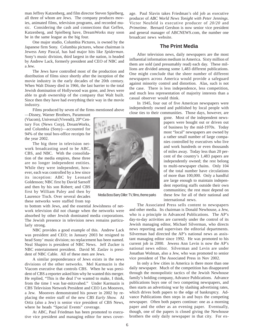man Jeffrey Katzenberg, and film director Steven Spielberg, all three of whom are Jews. The company produces movies, animated films, television programs, and recorded music. Considering the cash and connections that Geffen, Katzenberg, and Spielberg have, DreamWorks may soon be in the same league as the big four.

One major studio, Columbia Pictures, is owned by the Japanese firm Sony. Columbia pictures, whose chairman is Jewess Amy Pascal, has had major hits like *Spiderman*. Sony's music division, third largest in the nation, is headed by Andrew Lack, formerly president and CEO of NBC and a Jew.

The Jews have controlled most of the production and distribution of films since shortly after the inception of the movie industry in the early decades of the 20th century. When Walt Disney died in 1966, the last barrier to the total Jewish domination of Hollywood was gone, and Jews were able to grab ownership of the company that Walt built. Since then they have had everything their way in the movie industry.

Films produced by seven of the firms mentioned above

—Disney, Warner Brothers, Paramount (Viacom), Universal (Vivendi), 20<sup>th</sup> Century Fox (News Corp), DreamWorks, and Columbia (Sony)—accounted for 94% of the total box-office receipts for the year 2002.

The big three in television network broadcasting used to be ABC, CBS, and NBC. With the consolidation of the media empires, these three are no longer independent entities. While they were independent, however, each was controlled by a Jew since its inception: ABC by Leonard Goldenson; NBC first by David Sarnoff and then by his son Robert; and CBS first by William Paley and then by Laurence Tisch. Over several decades these networks were staffed from top

to bottom with Jews, and the essential Jewishness of network television did not change when the networks were absorbed by other Jewish dominated media corporations. The Jewish presence in television news remains particularly strong.

NBC provides a good example of this. Andrew Lack was president and CEO; in January 2003 he resigned to head Sony' music division; no replacement has been named. Neal Shapiro is president of NBC News. Jeff Zucker is NBC entertainment president. David M. Zaslav is president of NBC Cable. All of these men are Jews.

A similar preponderance of Jews exists in the news divisions of the other networks. Mel Karmazin is the Viacom executive that controls CBS. When he was president of CBS a reporter asked him why he wanted this merger. He replied, "This is the deal I've wanted to make, I think, from the time I was bar-mitzvahed." Under Karmazin is CBS Television Network President and CEO Les Moonves, a Jew. Moonves demonstrated his power in 2002 by replacing the entire staff of the new *CBS Early Show.* Al Ortiz (also a Jew) is senior vice president of CBS News, where he heads "Special Events" coverage.

At ABC, Paul Friedman has been promoted to executive vice president and managing editor for news cover-

VERSA

Media Boss Barry Diller: TV, films, theme parks

age. Paul Slavin takes Friedman's old job as executive producer of *ABC World News Tonight with Peter Jennings*. Victor Neufeld is executive producer of *20/20* and *Primetime*. Bernard Gershon is now senior vice president and general manager of ABCNEWS.com, the number one broadcast news website.

#### **The Print Media**

After television news, daily newspapers are the most influential information medium in America. Sixty million of them are sold (and presumably read) each day. These millions are divided among some 1,483 different publications. One might conclude that the sheer number of different newspapers across America would provide a safeguard against minority control and distortion. Alas, such is not the case. There is less independence, less competition, and much less representation of majority interests than a casual observer would think.

In 1945, four out of five American newspapers were independently owned and published by local people with close ties to their communities. Those days, however, are

gone. Most of the independent newspapers were bought out or driven out of business by the mid-1970s. Today most "local" newspapers are owned by a rather small number of large companies controlled by executives who live and work hundreds or even thousands of miles away. Today less than 20 percent of the country's 1,483 papers are independently owned; the rest belong to multi-newspaper chains. Only 104 of the total number have circulations of more than 100,000. Only a handful are large enough to maintain independent reporting staffs outside their own communities; the rest must depend on these few for all of their national and international news.

The Associated Press sells content to newspapers and other media. Its chairman is Donald Newhouse, a Jew, who is a principle in Advanced Publications. The AP's day-to-day activities are currently under the control of its Jewish managing editor, Michael Silverman, who directs news reporting and supervises the editorial departments. Silverman had directed the AP's national news as assistant managing editor since 1992. He was promoted to his current job in 2000. Jewess Ann Levin is now the AP's national news editor. Silverman and Levin are under Jonathan Wolman, also a Jew, who was promoted to senior vice president of The Associated Press in Nov 2002.

In only a few cities in America is there more than one daily newspaper. Much of the competition has disappeared through the monopolistic tactics of the Jewish Newhouse family's holding company, Advance Publications. Advance publications buys one of two competing newspapers, and then starts an advertising war by slashing advertising rates, which drives both papers to the edge of bankruptcy. Advance Publications then steps in and buys the competing newspaper. Often both papers continue: one as a morning paper and the other as an evening paper. Eventually, though, one of the papers is closed giving the Newhouse brothers the only daily newspaper in that city. For ex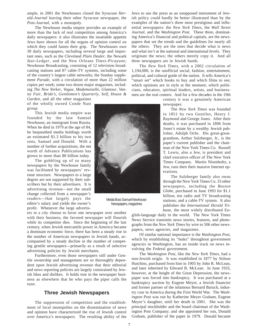ample, in 2001 the Newhouses closed the Syracuse *Herald-Journal* leaving their other Syracuse newspaper, the *Post-Journal,* with a monopoly.

The Newhouse media empire provides an example of more than the lack of real competition among America's daily newspapers: it also illustrates the insatiable appetite Jews have shown for all the organs of opinion control on which they could fasten their grip. The Newhouses own 30 daily newspapers, including several large and important ones, such as the Cleveland *Plain Dealer*, the Newark *Star-Ledger*, and the New Orleans *Times-Picayune*; Newhouse Broadcasting, consisting of 12 television broadcasting stations and 87 cable-TV systems, including some of the country's largest cable networks; the Sunday supplement *Parade*, with a circulation of more than 22 million copies per week; some two dozen major magazines, including *The New Yorker*, *Vogue*, *Mademoiselle*, *Glamour*, *Vanity Fair*, *Bride's*, *Gentlemen's Quarterly*, *Self*, *House &*

*Garden*, and all the other magazines of the wholly owned Conde Nast group.

This Jewish media empire was founded by the late Samuel Newhouse, an immigrant from Russia. When he died in 1979 at the age of 84, he bequeathed media holdings worth an estimated \$1.3 billion to his two sons, Samuel and Donald. With a number of further acquisitions, the net worth of Advance Publications has grown to more than \$8 billion today.

The gobbling up of so many newspapers by the Newhouse family was facilitated by newspapers' revenue structure. Newspapers to a large degree are not supported by their subscribers but by their advertisers. It is advertising revenue—not the small change collected from a newspaper's readers—that largely pays the editor's salary and yields the owner's profit. Whenever the large advertis-

ers in a city choose to favor one newspaper over another with their business, the favored newspaper will flourish while its competitor dies. Since the beginning of the last century, when Jewish mercantile power in America became a dominant economic force, there has been a steady rise in the number of American newspapers in Jewish hands, accompanied by a steady decline in the number of competing gentile newspapers—primarily as a result of selective advertising policies by Jewish merchants.

Furthermore, even those newspapers still under Gentile ownership and management are so thoroughly dependent upon Jewish advertising revenue that their editorial and news reporting policies are largely constrained by Jewish likes and dislikes. It holds true in the newspaper business as elsewhere that he who pays the piper calls the tune.

#### **Three Jewish Newspapers**

The suppression of competition and the establishment of local monopolies on the dissemination of news and opinion have characterized the rise of Jewish control over America's newspapers. The resulting ability of the

Media Boss Samuel Newhouse: Newspapers, magazines

Jews to use the press as an unopposed instrument of Jewish policy could hardly be better illustrated than by the examples of the nation's three most prestigious and influential newspapers: the *New York Times*, the *Wall Street Journal*, and the *Washington Post*. These three, dominating America's financial and political capitals, are the newspapers that set the trends and the guidelines for nearly all the others. They are the ones that decide what is news and what isn't at the national and international levels. They originate the news; the others merely copy it. And all three newspapers are in Jewish hands.

The *New York Times,* with a 2002 circulation of 1,194,000, is the unofficial social, fashion, entertainment, political, and cultural guide of the nation. It tells America's "smart set" which books to buy and which films to see; which opinions are in style at the moment; which politicians, educators, spiritual leaders, artists, and businessmen are the real comers. And for a few decades in the 19th

> century it was a genuinely American newspaper.

> The *New York Times* was founded in 1851 by two Gentiles, Henry J. Raymond and George Jones. After their deaths, it was purchased in 1896 from Jones's estate by a wealthy Jewish publisher, Adolph Ochs. His great-greatgrandson, Arthur Sulzberger, Jr., is the paper's current publisher and the chairman of the New York Times Co. Russell T. Lewis, also a Jew, is president and chief executive officer of The New York Times Company. Martin Nisenholtz, a Jew, runs their their massive Internet operations.

> The Sulzberger family also owns through the New York Times Co. 33 other newspapers, including the *Boston Globe*, purchased in June 1993 for \$1.1 billion; ten radio and TV broadcasting stations; and a cable-TV system. It also publishes the *International Herald Tribune,* the most widely distributed En-

glish-language daily in the world. The New York Times News Service transmits news stories, features, and photographs from the *New York Times* by wire to 506 other newspapers, news agencies, and magazines.

Of similar national importance is the *Washington Post*, which by establishing its "leaks" throughout government agencies in Washington, has an inside track on news involving the Federal government.

The *Washington Post*, like the *New York Times*, had a non-Jewish origin. It was established in 1877 by Stilson Hutchins, purchased from him in 1905 by John R. McLean, and later inherited by Edward B. McLean. In June 1933, however, at the height of the Great Depression, the newspaper was forced into bankruptcy. It was purchased at a bankruptcy auction by Eugene Meyer, a Jewish financier and former partner of the infamous Bernard Baruch, industry czar in America during the First World War. The *Washington Post* was run by Katherine Meyer Graham, Eugene Meyer's daughter, until her death in 2001. She was the principal stockholder and the board chairman of the Washington Post Company; and she appointed her son, Donald Graham, publisher of the paper in 1979. Donald became